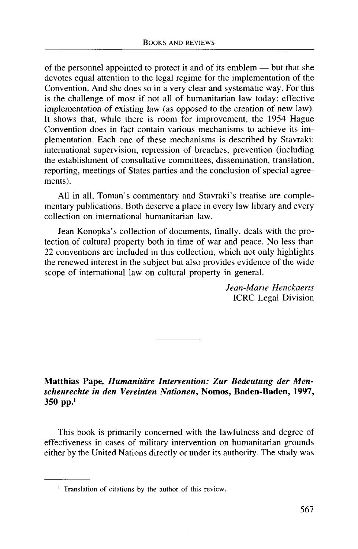of the personnel appointed to protect it and of its emblem — but that she devotes equal attention to the legal regime for the implementation of the Convention. And she does so in a very clear and systematic way. For this is the challenge of most if not all of humanitarian law today: effective implementation of existing law (as opposed to the creation of new law). It shows that, while there is room for improvement, the 1954 Hague Convention does in fact contain various mechanisms to achieve its implementation. Each one of these mechanisms is described by Stavraki: international supervision, repression of breaches, prevention (including the establishment of consultative committees, dissemination, translation, reporting, meetings of States parties and the conclusion of special agreements).

All in all, Toman's commentary and Stavraki's treatise are complementary publications. Both deserve a place in every law library and every collection on international humanitarian law.

Jean Konopka's collection of documents, finally, deals with the protection of cultural property both in time of war and peace. No less than 22 conventions are included in this collection, which not only highlights the renewed interest in the subject but also provides evidence of the wide scope of international law on cultural property in general.

> *Jean-Marie Henckaerts* ICRC Legal Division

**Matthias Pape,** *Humanitdre Intervention: Zur Bedeutung der Menschenrechte in den Vereinten Nationen,* **Nomos, Baden-Baden, 1997, 350** pp.<sup>1</sup>

This book is primarily concerned with the lawfulness and degree of effectiveness in cases of military intervention on humanitarian grounds either by the United Nations directly or under its authority. The study was

<sup>&</sup>lt;sup>1</sup> Translation of citations by the author of this review.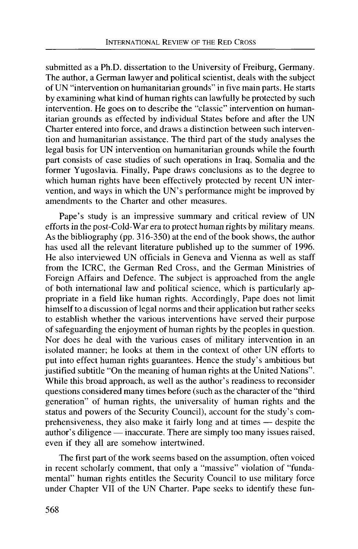submitted as a Ph.D. dissertation to the University of Freiburg, Germany. The author, a German lawyer and political scientist, deals with the subject of UN "intervention on humanitarian grounds" in five main parts. He starts by examining what kind of human rights can lawfully be protected by such intervention. He goes on to describe the "classic" intervention on humanitarian grounds as effected by individual States before and after the UN Charter entered into force, and draws a distinction between such intervention and humanitarian assistance. The third part of the study analyses the legal basis for UN intervention on humanitarian grounds while the fourth part consists of case studies of such operations in Iraq, Somalia and the former Yugoslavia. Finally, Pape draws conclusions as to the degree to which human rights have been effectively protected by recent UN intervention, and ways in which the UN's performance might be improved by amendments to the Charter and other measures.

Pape's study is an impressive summary and critical review of UN efforts in the post-Cold-War era to protect human rights by military means. As the bibliography (pp. 316-350) at the end of the book shows, the author has used all the relevant literature published up to the summer of 1996. He also interviewed UN officials in Geneva and Vienna as well as staff from the ICRC, the German Red Cross, and the German Ministries of Foreign Affairs and Defence. The subject is approached from the angle of both international law and political science, which is particularly appropriate in a field like human rights. Accordingly, Pape does not limit himself to a discussion of legal norms and their application but rather seeks to establish whether the various interventions have served their purpose of safeguarding the enjoyment of human rights by the peoples in question. Nor does he deal with the various cases of military intervention in an isolated manner; he looks at them in the context of other UN efforts to put into effect human rights guarantees. Hence the study's ambitious but justified subtitle "On the meaning of human rights at the United Nations". While this broad approach, as well as the author's readiness to reconsider questions considered many times before (such as the character of the "third generation" of human rights, the universality of human rights and the status and powers of the Security Council), account for the study's comprehensiveness, they also make it fairly long and at times — despite the author's diligence — inaccurate. There are simply too many issues raised, even if they all are somehow intertwined.

The first part of the work seems based on the assumption, often voiced in recent scholarly comment, that only a "massive" violation of "fundamental" human rights entitles the Security Council to use military force under Chapter VII of the UN Charter. Pape seeks to identify these fun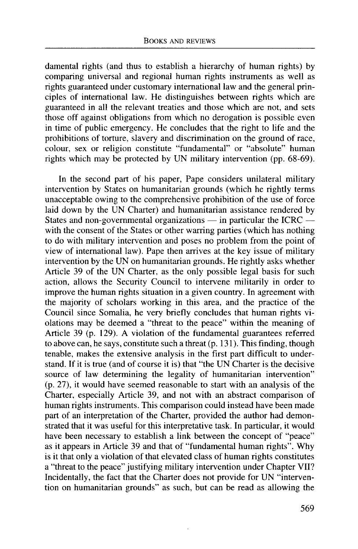damental rights (and thus to establish a hierarchy of human rights) by comparing universal and regional human rights instruments as well as rights guaranteed under customary international law and the general principles of international law. He distinguishes between rights which are guaranteed in all the relevant treaties and those which are not, and sets those off against obligations from which no derogation is possible even in time of public emergency. He concludes that the right to life and the prohibitions of torture, slavery and discrimination on the ground of race, colour, sex or religion constitute "fundamental" or "absolute" human rights which may be protected by UN military intervention (pp. 68-69).

In the second part of his paper, Pape considers unilateral military intervention by States on humanitarian grounds (which he rightly terms unacceptable owing to the comprehensive prohibition of the use of force laid down by the UN Charter) and humanitarian assistance rendered by States and non-governmental organizations — in particular the ICRC with the consent of the States or other warring parties (which has nothing to do with military intervention and poses no problem from the point of view of international law). Pape then arrives at the key issue of military intervention by the UN on humanitarian grounds. He rightly asks whether Article 39 of the UN Charter, as the only possible legal basis for such action, allows the Security Council to intervene militarily in order to improve the human rights situation in a given country. In agreement with the majority of scholars working in this area, and the practice of the Council since Somalia, he very briefly concludes that human rights violations may be deemed a "threat to the peace" within the meaning of Article 39 (p. 129). A violation of the fundamental guarantees referred to above can, he says, constitute such a threat (p. 131). This finding, though tenable, makes the extensive analysis in the first part difficult to understand. If it is true (and of course it is) that "the UN Charter is the decisive source of law determining the legality of humanitarian intervention" (p. 27), it would have seemed reasonable to start with an analysis of the Charter, especially Article 39, and not with an abstract comparison of human rights instruments. This comparison could instead have been made part of an interpretation of the Charter, provided the author had demonstrated that it was useful for this interpretative task. In particular, it would have been necessary to establish a link between the concept of "peace" as it appears in Article 39 and that of "fundamental human rights". Why is it that only a violation of that elevated class of human rights constitutes a "threat to the peace" justifying military intervention under Chapter VII? Incidentally, the fact that the Charter does not provide for UN "intervention on humanitarian grounds" as such, but can be read as allowing the

569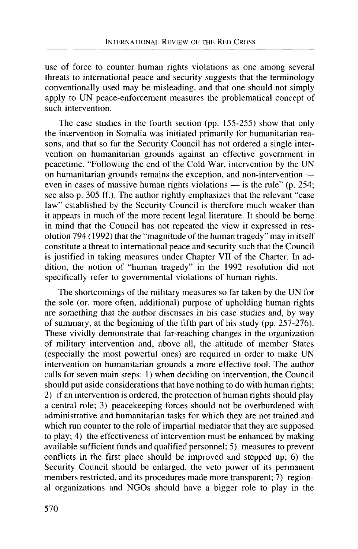use of force to counter human rights violations as one among several threats to international peace and security suggests that the terminology conventionally used may be misleading, and that one should not simply apply to UN peace-enforcement measures the problematical concept of such intervention.

The case studies in the fourth section (pp. 155-255) show that only the intervention in Somalia was initiated primarily for humanitarian reasons, and that so far the Security Council has not ordered a single intervention on humanitarian grounds against an effective government in peacetime. "Following the end of the Cold War, intervention by the UN on humanitarian grounds remains the exception, and non-intervention even in cases of massive human rights violations — is the rule" (p. 254; see also p. 305 ff.). The author rightly emphasizes that the relevant "case law" established by the Security Council is therefore much weaker than it appears in much of the more recent legal literature. It should be borne in mind that the Council has not repeated the view it expressed in resolution 794 (1992) that the "magnitude of the human tragedy" may in itself constitute a threat to international peace and security such that the Council is justified in taking measures under Chapter VII of the Charter. In addition, the notion of "human tragedy" in the 1992 resolution did not specifically refer to governmental violations of human rights.

The shortcomings of the military measures so far taken by the UN for the sole (or, more often, additional) purpose of upholding human rights are something that the author discusses in his case studies and, by way of summary, at the beginning of the fifth part of his study (pp. 257-276). These vividly demonstrate that far-reaching changes in the organization of military intervention and, above all, the attitude of member States (especially the most powerful ones) are required in order to make UN intervention on humanitarian grounds a more effective tool. The author calls for seven main steps: 1) when deciding on intervention, the Council should put aside considerations that have nothing to do with human rights; 2) if an intervention is ordered, the protection of human rights should play a central role; 3) peacekeeping forces should not be overburdened with administrative and humanitarian tasks for which they are not trained and which run counter to the role of impartial mediator that they are supposed to play; 4) the effectiveness of intervention must be enhanced by making available sufficient funds and qualified personnel; 5) measures to prevent conflicts in the first place should be improved and stepped up; 6) the Security Council should be enlarged, the veto power of its permanent members restricted, and its procedures made more transparent; 7) regional organizations and NGOs should have a bigger role to play in the

570